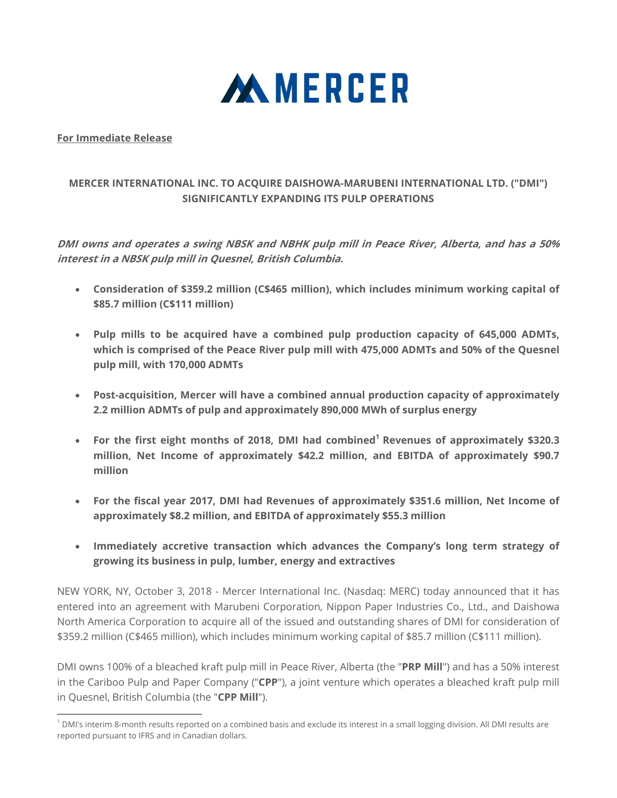

### **For Immediate Release**

 $\overline{\phantom{a}}$ 

# **MERCER INTERNATIONAL INC. TO ACQUIRE DAISHOWA-MARUBENI INTERNATIONAL LTD. ("DMI") SIGNIFICANTLY EXPANDING ITS PULP OPERATIONS**

**DMI owns and operates a swing NBSK and NBHK pulp mill in Peace River, Alberta, and has a 50% interest in a NBSK pulp mill in Quesnel, British Columbia.** 

- **Consideration of \$359.2 million (C\$465 million), which includes minimum working capital of \$85.7 million (C\$111 million)**
- **Pulp mills to be acquired have a combined pulp production capacity of 645,000 ADMTs, which is comprised of the Peace River pulp mill with 475,000 ADMTs and 50% of the Quesnel pulp mill, with 170,000 ADMTs**
- **Post-acquisition, Mercer will have a combined annual production capacity of approximately 2.2 million ADMTs of pulp and approximately 890,000 MWh of surplus energy**
- For the first eight months of 2018, DMI had combined<sup>1</sup> Revenues of approximately \$320.3 **million, Net Income of approximately \$42.2 million, and EBITDA of approximately \$90.7 million**
- **For the fiscal year 2017, DMI had Revenues of approximately \$351.6 million, Net Income of approximately \$8.2 million, and EBITDA of approximately \$55.3 million**
- **Immediately accretive transaction which advances the Company's long term strategy of growing its business in pulp, lumber, energy and extractives**

NEW YORK, NY, October 3, 2018 - Mercer International Inc. (Nasdaq: MERC) today announced that it has entered into an agreement with Marubeni Corporation, Nippon Paper Industries Co., Ltd., and Daishowa North America Corporation to acquire all of the issued and outstanding shares of DMI for consideration of \$359.2 million (C\$465 million), which includes minimum working capital of \$85.7 million (C\$111 million).

DMI owns 100% of a bleached kraft pulp mill in Peace River, Alberta (the "**PRP Mill**") and has a 50% interest in the Cariboo Pulp and Paper Company ("**CPP**"), a joint venture which operates a bleached kraft pulp mill in Quesnel, British Columbia (the "**CPP Mill**").

<sup>&</sup>lt;sup>1</sup> DMI's interim 8-month results reported on a combined basis and exclude its interest in a small logging division. All DMI results are reported pursuant to IFRS and in Canadian dollars.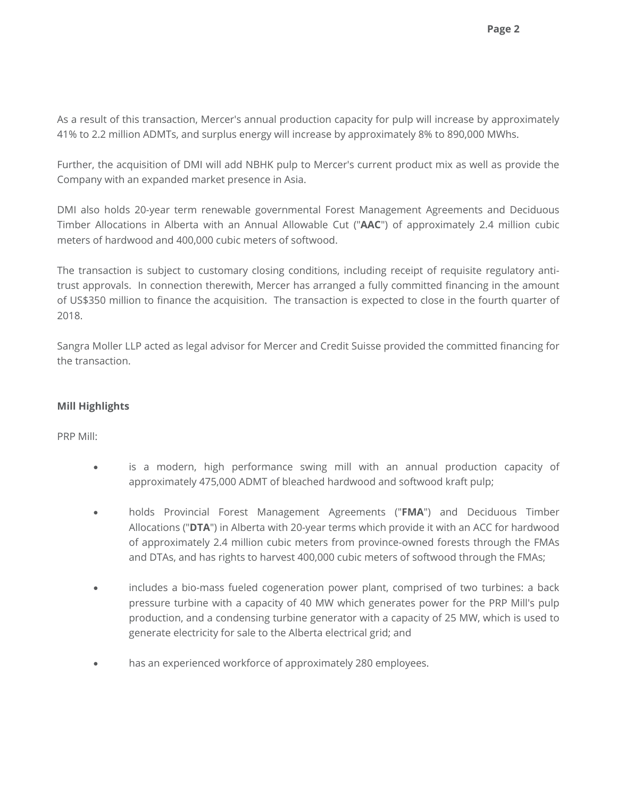As a result of this transaction, Mercer's annual production capacity for pulp will increase by approximately 41% to 2.2 million ADMTs, and surplus energy will increase by approximately 8% to 890,000 MWhs.

Further, the acquisition of DMI will add NBHK pulp to Mercer's current product mix as well as provide the Company with an expanded market presence in Asia.

DMI also holds 20-year term renewable governmental Forest Management Agreements and Deciduous Timber Allocations in Alberta with an Annual Allowable Cut ("**AAC**") of approximately 2.4 million cubic meters of hardwood and 400,000 cubic meters of softwood.

The transaction is subject to customary closing conditions, including receipt of requisite regulatory antitrust approvals. In connection therewith, Mercer has arranged a fully committed financing in the amount of US\$350 million to finance the acquisition. The transaction is expected to close in the fourth quarter of 2018.

Sangra Moller LLP acted as legal advisor for Mercer and Credit Suisse provided the committed financing for the transaction.

# **Mill Highlights**

PRP Mill:

- is a modern, high performance swing mill with an annual production capacity of approximately 475,000 ADMT of bleached hardwood and softwood kraft pulp;
- holds Provincial Forest Management Agreements ("**FMA**") and Deciduous Timber Allocations ("**DTA**") in Alberta with 20-year terms which provide it with an ACC for hardwood of approximately 2.4 million cubic meters from province-owned forests through the FMAs and DTAs, and has rights to harvest 400,000 cubic meters of softwood through the FMAs;
- includes a bio-mass fueled cogeneration power plant, comprised of two turbines: a back pressure turbine with a capacity of 40 MW which generates power for the PRP Mill's pulp production, and a condensing turbine generator with a capacity of 25 MW, which is used to generate electricity for sale to the Alberta electrical grid; and
- has an experienced workforce of approximately 280 employees.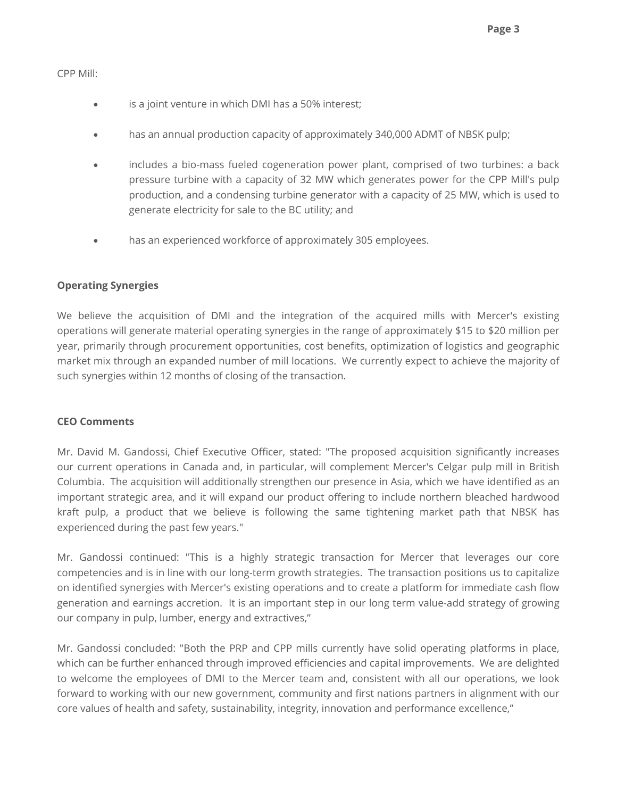### CPP Mill:

- is a joint venture in which DMI has a 50% interest;
- has an annual production capacity of approximately 340,000 ADMT of NBSK pulp;
- includes a bio-mass fueled cogeneration power plant, comprised of two turbines: a back pressure turbine with a capacity of 32 MW which generates power for the CPP Mill's pulp production, and a condensing turbine generator with a capacity of 25 MW, which is used to generate electricity for sale to the BC utility; and
- has an experienced workforce of approximately 305 employees.

## **Operating Synergies**

We believe the acquisition of DMI and the integration of the acquired mills with Mercer's existing operations will generate material operating synergies in the range of approximately \$15 to \$20 million per year, primarily through procurement opportunities, cost benefits, optimization of logistics and geographic market mix through an expanded number of mill locations. We currently expect to achieve the majority of such synergies within 12 months of closing of the transaction.

### **CEO Comments**

Mr. David M. Gandossi, Chief Executive Officer, stated: "The proposed acquisition significantly increases our current operations in Canada and, in particular, will complement Mercer's Celgar pulp mill in British Columbia. The acquisition will additionally strengthen our presence in Asia, which we have identified as an important strategic area, and it will expand our product offering to include northern bleached hardwood kraft pulp, a product that we believe is following the same tightening market path that NBSK has experienced during the past few years."

Mr. Gandossi continued: "This is a highly strategic transaction for Mercer that leverages our core competencies and is in line with our long-term growth strategies. The transaction positions us to capitalize on identified synergies with Mercer's existing operations and to create a platform for immediate cash flow generation and earnings accretion. It is an important step in our long term value-add strategy of growing our company in pulp, lumber, energy and extractives,"

Mr. Gandossi concluded: "Both the PRP and CPP mills currently have solid operating platforms in place, which can be further enhanced through improved efficiencies and capital improvements. We are delighted to welcome the employees of DMI to the Mercer team and, consistent with all our operations, we look forward to working with our new government, community and first nations partners in alignment with our core values of health and safety, sustainability, integrity, innovation and performance excellence,"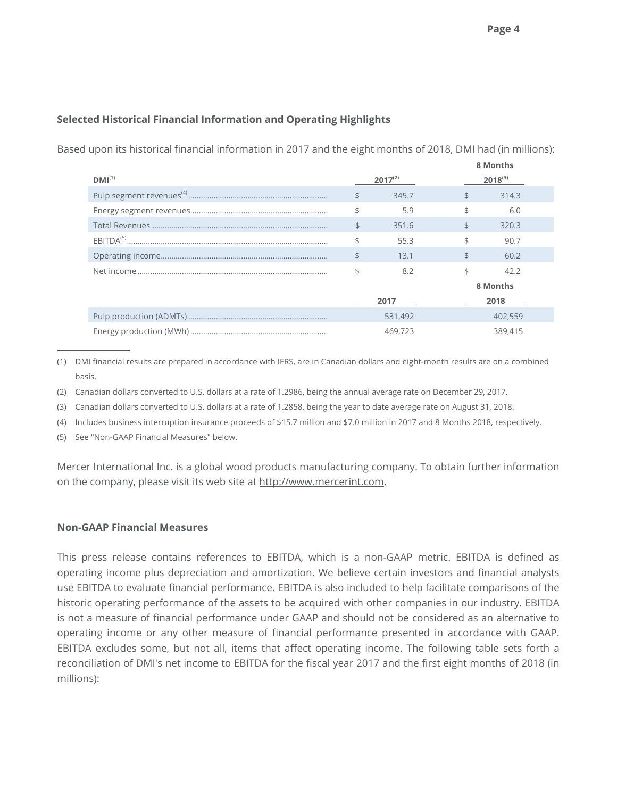# **Selected Historical Financial Information and Operating Highlights**

Based upon its historical financial information in 2017 and the eight months of 2018, DMI had (in millions):

|             |              | 8 Months |              |         |  |
|-------------|--------------|----------|--------------|---------|--|
| $DMI^{(1)}$ | $2017^{(2)}$ |          | $2018^{(3)}$ |         |  |
|             | \$           | 345.7    | \$           | 314.3   |  |
|             |              | 5.9      | \$           | 6.0     |  |
|             | \$           | 351.6    | \$           | 320.3   |  |
|             |              | 55.3     |              | 90.7    |  |
|             | \$           | 13.1     | \$           | 60.2    |  |
|             |              | 8.2      | \$           | 42.2    |  |
|             |              |          | 8 Months     |         |  |
|             |              | 2017     | 2018         |         |  |
|             | 531,492      |          | 402,559      |         |  |
|             | 469,723      |          |              | 389,415 |  |

(1) DMI financial results are prepared in accordance with IFRS, are in Canadian dollars and eight-month results are on a combined basis.

(2) Canadian dollars converted to U.S. dollars at a rate of 1.2986, being the annual average rate on December 29, 2017.

(3) Canadian dollars converted to U.S. dollars at a rate of 1.2858, being the year to date average rate on August 31, 2018.

(4) Includes business interruption insurance proceeds of \$15.7 million and \$7.0 million in 2017 and 8 Months 2018, respectively.

(5) See "Non-GAAP Financial Measures" below.

 $\overline{a}$ 

Mercer International Inc. is a global wood products manufacturing company. To obtain further information on the company, please visit its web site at http://www.mercerint.com.

# **Non-GAAP Financial Measures**

This press release contains references to EBITDA, which is a non-GAAP metric. EBITDA is defined as operating income plus depreciation and amortization. We believe certain investors and financial analysts use EBITDA to evaluate financial performance. EBITDA is also included to help facilitate comparisons of the historic operating performance of the assets to be acquired with other companies in our industry. EBITDA is not a measure of financial performance under GAAP and should not be considered as an alternative to operating income or any other measure of financial performance presented in accordance with GAAP. EBITDA excludes some, but not all, items that affect operating income. The following table sets forth a reconciliation of DMI's net income to EBITDA for the fiscal year 2017 and the first eight months of 2018 (in millions):